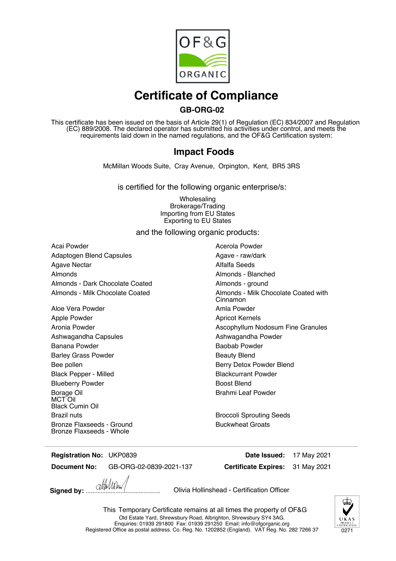

# **Certificate of Compliance**

### **GB-ORG-02**

This certificate has been issued on the basis of Article 29(1) of Regulation (EC) 834/2007 and Regulation (EC) 889/2008. The declared operator has submitted his activities under control, and meets the requirements laid down in the named regulations, and the OF&G Certification system:

### **Impact Foods**

McMillan Woods Suite, Cray Avenue, Orpington, Kent, BR5 3RS

is certified for the following organic enterprise/s:

Wholesaling Brokerage/Trading Importing from EU States Exporting to EU States

and the following organic products:

Acai Powder **Acai Powder** Acerola Powder Adaptogen Blend Capsules **Agave - raw/dark** Agave - raw/dark Agave Nectar **Alfalfa** Seeds Almonds Almonds - Blanched Almonds - Dark Chocolate Coated **Almonds** - ground

Aloe Vera Powder **Aloe Vera Powder Amla Powder** Apple Powder **Apple Powder** Apple Powder Apple Powder Ashwagandha Capsules Ashwagandha Powder Banana Powder **Banana** Powder **Baobab Powder** Barley Grass Powder **Barley Grass Powder Beauty Blend** Bee pollen Berry Detox Powder Blend Black Pepper - Milled Blackcurrant Powder Blueberry Powder **Blueberry Powder Boost Blend** Borage Oil MCT Oil Black Cumin Oil Brazil nuts **Brazil nuts** Broccoli Sprouting Seeds Bronze Flaxseeds - Ground Bronze Flaxseeds - Whole

Almonds - Milk Chocolate Coated **Almonds** - Milk Chocolate Coated with Cinnamon Aronia Powder **Assumed Assumed Ascophyllum Nodosum Fine Granules** Ascophyllum Nodosum Fine Granules Brahmi Leaf Powder

Buckwheat Groats

**Registration No:**

**Document No:** GB-ORG-02-0839-2021-137

**Certificate Expires:** UKP0839 **Date Issued:** 17 May 2021 31 May 2021

**Signed by:** ............................................. Olivia Hollinshead - Certification Officer

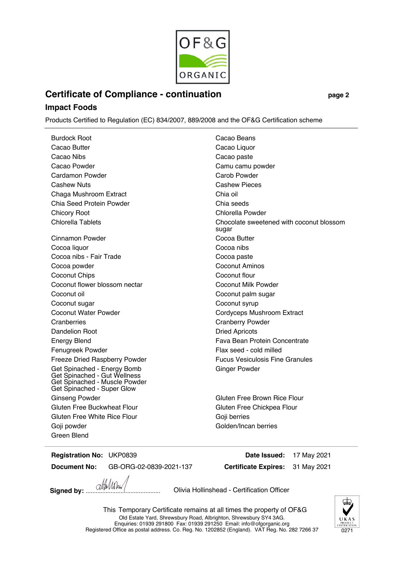

## **Certificate of Compliance - continuation page 2**

#### **Impact Foods**

Products Certified to Regulation (EC) 834/2007, 889/2008 and the OF&G Certification scheme

Burdock Root **Cacao Beans** Cacao Butter **Cacao Liquor** Cacao Liquor Cacao Nibs Cacao paste Cacao Powder Camu camu powder Cardamon Powder Carob Powder Cashew Nuts Cashew Pieces Chaga Mushroom Extract Chia oil Chia Seed Protein Powder Chia seeds Chicory Root **Chicory Root** Chicory Root **Chicory** Root Chicory Root **Chicory** Root Chicory Root **Chicory** Root **Chicory** Root **Chicory** Root **Chicory** Root **Chicory** Root **Chicory** Root **Chicory** Root **Chicory** Root **Chic** Cinnamon Powder Cocoa Butter Cocoa liquor Cocoa nibs Cocoa nibs - Fair Trade Cocoa paste Cocoa powder Coconut Aminos Coconut Chips Coconut Flour Coconut flower blossom nectar **Coconut Milk Powder** Coconut Milk Powder Coconut oil **Coconut oil** Coconut palm sugar Coconut sugar Coconut syrup Coconut Water Powder Cordyceps Mushroom Extract Cranberries Cranberry Powder Dandelion Root **Dried Apricots** Energy Blend Fava Bean Protein Concentrate Fenugreek Powder Fenugreek Powder Flax seed - cold milled Freeze Dried Raspberry Powder Fucus Vesiculosis Fine Granules Get Spinached - Energy Bomb Get Spinached - Gut Wellness Get Spinached - Muscle Powder Get Spinached - Super Glow Ginseng Powder **Gluten Free Brown Rice Flour** Gluten Free Brown Rice Flour Gluten Free Buckwheat Flour **Gluten Free Chickpea Flour** Gluten Free Chickpea Flour Gluten Free White Rice Flour Goji berries Goji powder Goji powder Golden/Incan berries Green Blend

Chlorella Tablets Chocolate sweetened with coconut blossom sugar Ginger Powder

**Registration No:** UKP0839 **Date Issued:** 17 May 2021

**Document No:** GB-ORG-02-0839-2021-137

**Certificate Expires:** 31 May 2021

**Signed by:** ............................................. Olivia Hollinshead - Certification Officer

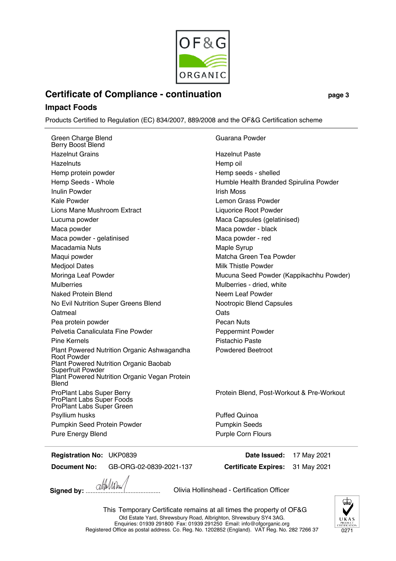

Guarana Powder

### **Certificate of Compliance - continuation page 3**

#### **Impact Foods**

Products Certified to Regulation (EC) 834/2007, 889/2008 and the OF&G Certification scheme

Green Charge Blend Berry Boost Blend Hazelnut Grains **Hazelnut Paste** Hazelnuts **Hazelnuts** Hemp oil Hemp protein powder **Hemp** seeds - shelled Hemp Seeds - Whole **Humble Health Branded Spirulina Powder** Inulin Powder **Instrument Communist Communist Communist Communist Communist Communist Communist Communist Communist Communist Communist Communist Communist Communist Communist Communist Communist Communist Communist Commun** Kale Powder **Lemon Grass Powder Lemon Grass Powder** Lions Mane Mushroom Extract Liquorice Root Powder Lucuma powder **Maca Capsules (gelatinised)** Maca Capsules (gelatinised) Maca powder **Maca** powder - black Maca powder - gelatinised Maca powder - red Macadamia Nuts **Macadamia Nuts** Maple Syrup Maqui powder **Matcha Green Tea Powder** Matcha Green Tea Powder Medjool Dates **Milk Thistle Powder** Milk Thistle Powder Mulberries Mulberries - dried, white Naked Protein Blend Neem Leaf Powder No Evil Nutrition Super Greens Blend Nootropic Blend Capsules Oatmeal **Oatmeal** Oats Pea protein powder **Pecan Nuts** Pecan Nuts Pelvetia Canaliculata Fine Powder **Pelvetia Canaliculata** Fine Powder Pine Kernels **Pine Kernels** Pistachio Paste Plant Powered Nutrition Organic Ashwagandha Root Powder Plant Powered Nutrition Organic Baobab Superfruit Powder Plant Powered Nutrition Organic Vegan Protein Blend ProPlant Labs Super Berry ProPlant Labs Super Foods ProPlant Labs Super Green Psyllium husks **Puffed Quinoa** Pumpkin Seed Protein Powder **Pumpkin Seeds** 

Moringa Leaf Powder Mucuna Seed Powder (Kappikachhu Powder) Powdered Beetroot

Protein Blend, Post-Workout & Pre-Workout

Pure Energy Blend Purple Corn Flours

**Registration No:** UKP0839 **Date Issued:** 17 May 2021

**Document No:** GB-ORG-02-0839-2021-137

**Certificate Expires:** 31 May 2021

**Signed by:** ............................................. Olivia Hollinshead - Certification Officer